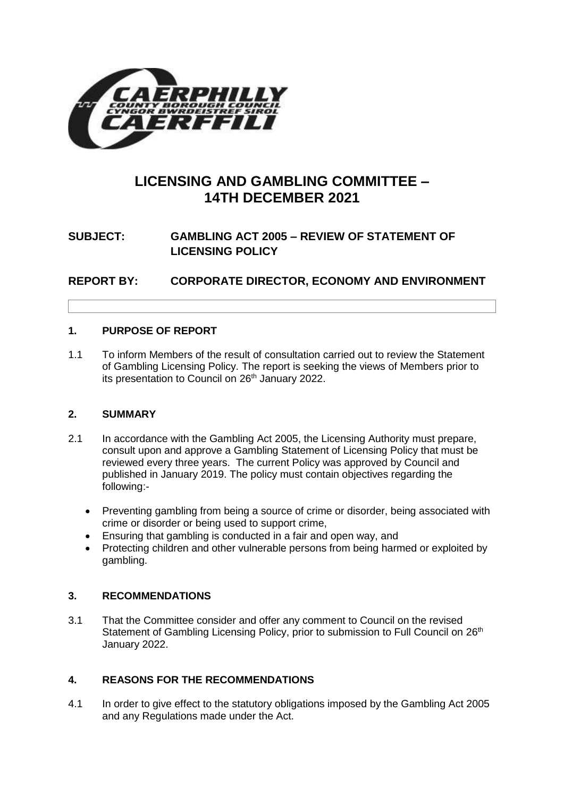

# **LICENSING AND GAMBLING COMMITTEE – 14TH DECEMBER 2021**

# **SUBJECT: GAMBLING ACT 2005 – REVIEW OF STATEMENT OF LICENSING POLICY**

**REPORT BY: CORPORATE DIRECTOR, ECONOMY AND ENVIRONMENT**

# **1. PURPOSE OF REPORT**

1.1 To inform Members of the result of consultation carried out to review the Statement of Gambling Licensing Policy. The report is seeking the views of Members prior to its presentation to Council on 26<sup>th</sup> January 2022.

# **2. SUMMARY**

- 2.1 In accordance with the Gambling Act 2005, the Licensing Authority must prepare, consult upon and approve a Gambling Statement of Licensing Policy that must be reviewed every three years. The current Policy was approved by Council and published in January 2019. The policy must contain objectives regarding the following:-
	- Preventing gambling from being a source of crime or disorder, being associated with crime or disorder or being used to support crime,
	- Ensuring that gambling is conducted in a fair and open way, and
	- Protecting children and other vulnerable persons from being harmed or exploited by gambling.

# **3. RECOMMENDATIONS**

3.1 That the Committee consider and offer any comment to Council on the revised Statement of Gambling Licensing Policy, prior to submission to Full Council on 26<sup>th</sup> January 2022.

# **4. REASONS FOR THE RECOMMENDATIONS**

4.1 In order to give effect to the statutory obligations imposed by the Gambling Act 2005 and any Regulations made under the Act.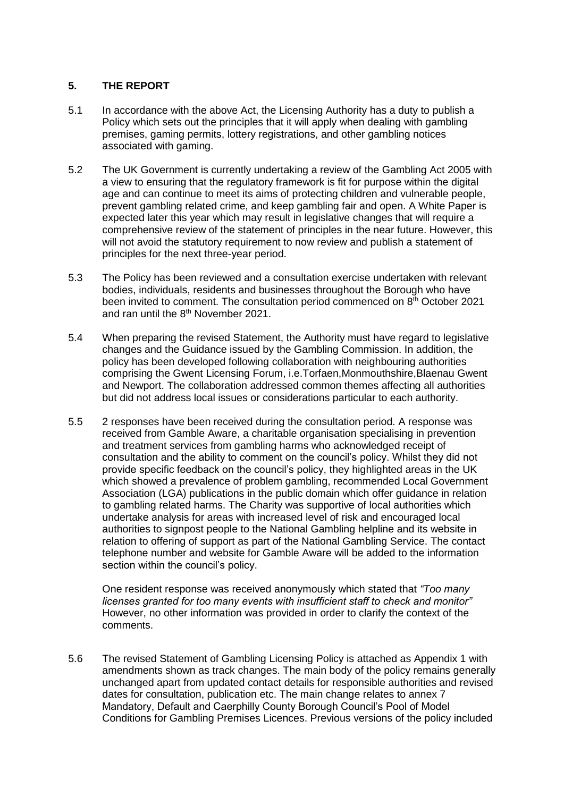#### **5. THE REPORT**

- 5.1 In accordance with the above Act, the Licensing Authority has a duty to publish a Policy which sets out the principles that it will apply when dealing with gambling premises, gaming permits, lottery registrations, and other gambling notices associated with gaming.
- 5.2 The UK Government is currently undertaking a review of the Gambling Act 2005 with a view to ensuring that the regulatory framework is fit for purpose within the digital age and can continue to meet its aims of protecting children and vulnerable people, prevent gambling related crime, and keep gambling fair and open. A White Paper is expected later this year which may result in legislative changes that will require a comprehensive review of the statement of principles in the near future. However, this will not avoid the statutory requirement to now review and publish a statement of principles for the next three-year period.
- 5.3 The Policy has been reviewed and a consultation exercise undertaken with relevant bodies, individuals, residents and businesses throughout the Borough who have been invited to comment. The consultation period commenced on  $8<sup>th</sup>$  October 2021 and ran until the 8<sup>th</sup> November 2021.
- 5.4 When preparing the revised Statement, the Authority must have regard to legislative changes and the Guidance issued by the Gambling Commission. In addition, the policy has been developed following collaboration with neighbouring authorities comprising the Gwent Licensing Forum, i.e.Torfaen,Monmouthshire,Blaenau Gwent and Newport. The collaboration addressed common themes affecting all authorities but did not address local issues or considerations particular to each authority.
- 5.5 2 responses have been received during the consultation period. A response was received from Gamble Aware, a charitable organisation specialising in prevention and treatment services from gambling harms who acknowledged receipt of consultation and the ability to comment on the council's policy. Whilst they did not provide specific feedback on the council's policy, they highlighted areas in the UK which showed a prevalence of problem gambling, recommended Local Government Association (LGA) publications in the public domain which offer guidance in relation to gambling related harms. The Charity was supportive of local authorities which undertake analysis for areas with increased level of risk and encouraged local authorities to signpost people to the National Gambling helpline and its website in relation to offering of support as part of the National Gambling Service. The contact telephone number and website for Gamble Aware will be added to the information section within the council's policy.

One resident response was received anonymously which stated that *"Too many licenses granted for too many events with insufficient staff to check and monitor"*  However, no other information was provided in order to clarify the context of the comments.

5.6 The revised Statement of Gambling Licensing Policy is attached as Appendix 1 with amendments shown as track changes. The main body of the policy remains generally unchanged apart from updated contact details for responsible authorities and revised dates for consultation, publication etc. The main change relates to annex 7 Mandatory, Default and Caerphilly County Borough Council's Pool of Model Conditions for Gambling Premises Licences. Previous versions of the policy included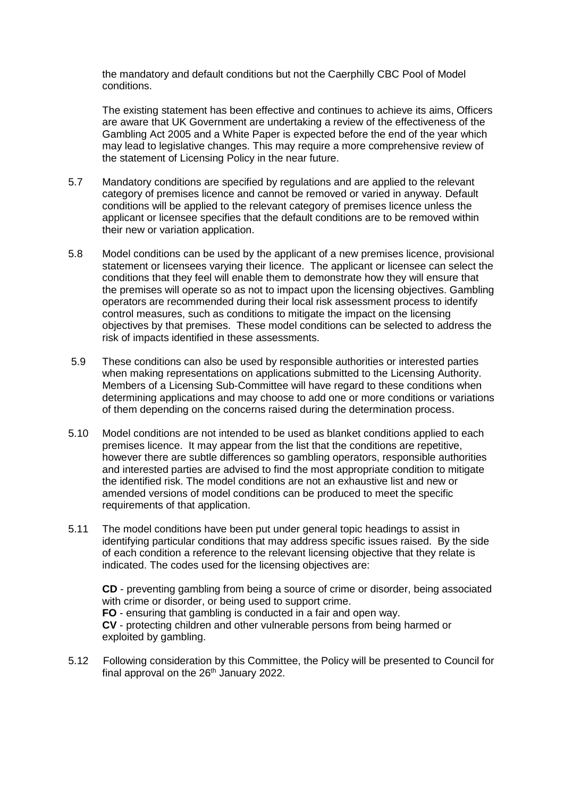the mandatory and default conditions but not the Caerphilly CBC Pool of Model conditions.

The existing statement has been effective and continues to achieve its aims, Officers are aware that UK Government are undertaking a review of the effectiveness of the Gambling Act 2005 and a White Paper is expected before the end of the year which may lead to legislative changes. This may require a more comprehensive review of the statement of Licensing Policy in the near future.

- 5.7 Mandatory conditions are specified by regulations and are applied to the relevant category of premises licence and cannot be removed or varied in anyway. Default conditions will be applied to the relevant category of premises licence unless the applicant or licensee specifies that the default conditions are to be removed within their new or variation application.
- 5.8 Model conditions can be used by the applicant of a new premises licence, provisional statement or licensees varying their licence. The applicant or licensee can select the conditions that they feel will enable them to demonstrate how they will ensure that the premises will operate so as not to impact upon the licensing objectives. Gambling operators are recommended during their local risk assessment process to identify control measures, such as conditions to mitigate the impact on the licensing objectives by that premises. These model conditions can be selected to address the risk of impacts identified in these assessments.
- 5.9 These conditions can also be used by responsible authorities or interested parties when making representations on applications submitted to the Licensing Authority. Members of a Licensing Sub-Committee will have regard to these conditions when determining applications and may choose to add one or more conditions or variations of them depending on the concerns raised during the determination process.
- 5.10 Model conditions are not intended to be used as blanket conditions applied to each premises licence. It may appear from the list that the conditions are repetitive, however there are subtle differences so gambling operators, responsible authorities and interested parties are advised to find the most appropriate condition to mitigate the identified risk. The model conditions are not an exhaustive list and new or amended versions of model conditions can be produced to meet the specific requirements of that application.
- 5.11 The model conditions have been put under general topic headings to assist in identifying particular conditions that may address specific issues raised. By the side of each condition a reference to the relevant licensing objective that they relate is indicated. The codes used for the licensing objectives are:

**CD** - preventing gambling from being a source of crime or disorder, being associated with crime or disorder, or being used to support crime. **FO** - ensuring that gambling is conducted in a fair and open way. **CV** - protecting children and other vulnerable persons from being harmed or exploited by gambling.

5.12 Following consideration by this Committee, the Policy will be presented to Council for final approval on the  $26<sup>th</sup>$  January 2022.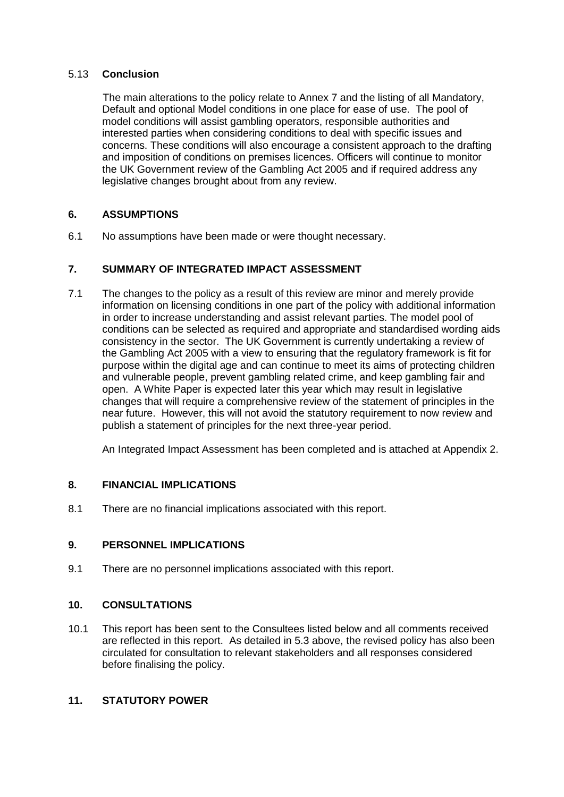#### 5.13 **Conclusion**

The main alterations to the policy relate to Annex 7 and the listing of all Mandatory, Default and optional Model conditions in one place for ease of use. The pool of model conditions will assist gambling operators, responsible authorities and interested parties when considering conditions to deal with specific issues and concerns. These conditions will also encourage a consistent approach to the drafting and imposition of conditions on premises licences. Officers will continue to monitor the UK Government review of the Gambling Act 2005 and if required address any legislative changes brought about from any review.

# **6. ASSUMPTIONS**

6.1 No assumptions have been made or were thought necessary.

# **7. SUMMARY OF INTEGRATED IMPACT ASSESSMENT**

7.1 The changes to the policy as a result of this review are minor and merely provide information on licensing conditions in one part of the policy with additional information in order to increase understanding and assist relevant parties. The model pool of conditions can be selected as required and appropriate and standardised wording aids consistency in the sector. The UK Government is currently undertaking a review of the Gambling Act 2005 with a view to ensuring that the regulatory framework is fit for purpose within the digital age and can continue to meet its aims of protecting children and vulnerable people, prevent gambling related crime, and keep gambling fair and open. A White Paper is expected later this year which may result in legislative changes that will require a comprehensive review of the statement of principles in the near future. However, this will not avoid the statutory requirement to now review and publish a statement of principles for the next three-year period.

An Integrated Impact Assessment has been completed and is attached at Appendix 2.

# **8. FINANCIAL IMPLICATIONS**

8.1 There are no financial implications associated with this report.

# **9. PERSONNEL IMPLICATIONS**

9.1 There are no personnel implications associated with this report.

# **10. CONSULTATIONS**

10.1 This report has been sent to the Consultees listed below and all comments received are reflected in this report. As detailed in 5.3 above, the revised policy has also been circulated for consultation to relevant stakeholders and all responses considered before finalising the policy.

# **11. STATUTORY POWER**